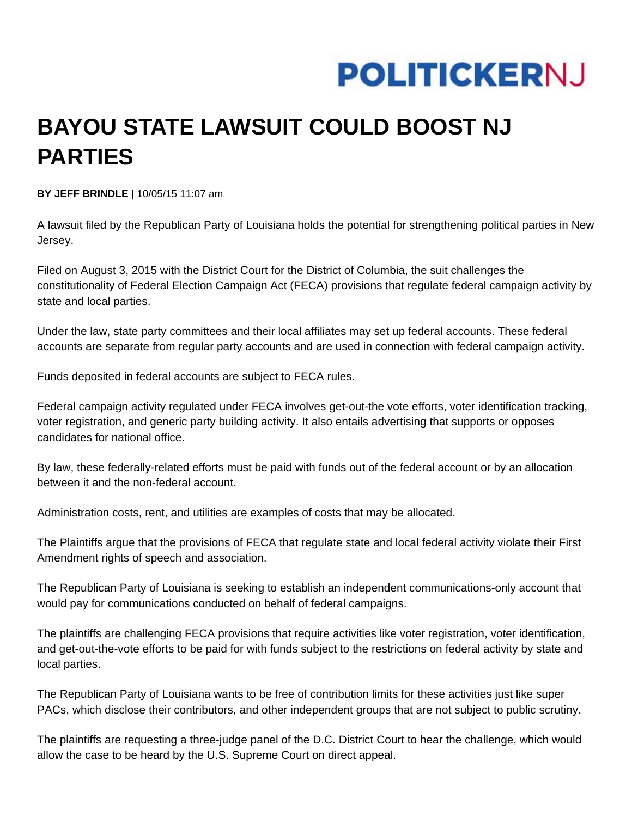## **POLITICKERNJ**

## **BAYOU STATE LAWSUIT COULD BOOST NJ PARTIES**

**BY JEFF BRINDLE |** 10/05/15 11:07 am

A lawsuit filed by the Republican Party of Louisiana holds the potential for strengthening political parties in New Jersey.

Filed on August 3, 2015 with the District Court for the District of Columbia, the suit challenges the constitutionality of Federal Election Campaign Act (FECA) provisions that regulate federal campaign activity by state and local parties.

Under the law, state party committees and their local affiliates may set up federal accounts. These federal accounts are separate from regular party accounts and are used in connection with federal campaign activity.

Funds deposited in federal accounts are subject to FECA rules.

Federal campaign activity regulated under FECA involves get-out-the vote efforts, voter identification tracking, voter registration, and generic party building activity. It also entails advertising that supports or opposes candidates for national office.

By law, these federally-related efforts must be paid with funds out of the federal account or by an allocation between it and the non-federal account.

Administration costs, rent, and utilities are examples of costs that may be allocated.

The Plaintiffs argue that the provisions of FECA that regulate state and local federal activity violate their First Amendment rights of speech and association.

The Republican Party of Louisiana is seeking to establish an independent communications-only account that would pay for communications conducted on behalf of federal campaigns.

The plaintiffs are challenging FECA provisions that require activities like voter registration, voter identification, and get-out-the-vote efforts to be paid for with funds subject to the restrictions on federal activity by state and local parties.

The Republican Party of Louisiana wants to be free of contribution limits for these activities just like super PACs, which disclose their contributors, and other independent groups that are not subject to public scrutiny.

The plaintiffs are requesting a three-judge panel of the D.C. District Court to hear the challenge, which would allow the case to be heard by the U.S. Supreme Court on direct appeal.